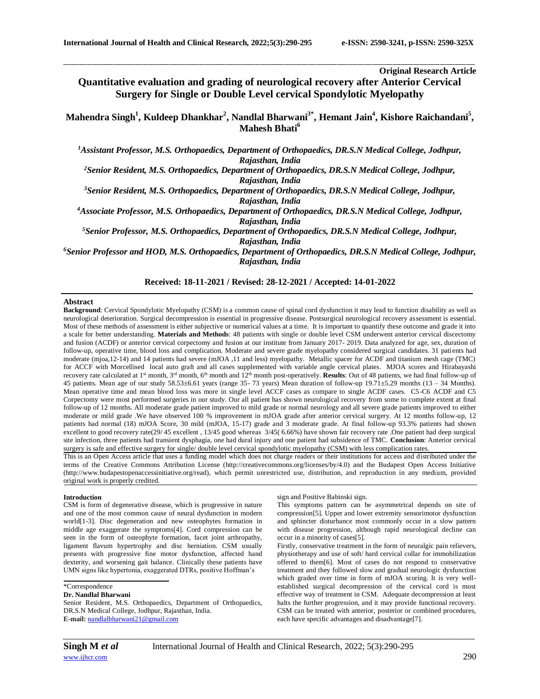# **Original Research Article**

**Quantitative evaluation and grading of neurological recovery after Anterior Cervical Surgery for Single or Double Level cervical Spondylotic Myelopathy**

\_\_\_\_\_\_\_\_\_\_\_\_\_\_\_\_\_\_\_\_\_\_\_\_\_\_\_\_\_\_\_\_\_\_\_\_\_\_\_\_\_\_\_\_\_\_\_\_\_\_\_\_\_\_\_\_\_\_\_\_\_\_\_\_\_\_\_\_\_\_\_\_\_\_\_\_\_\_\_\_\_\_\_\_\_\_\_\_\_\_\_\_\_\_\_\_\_\_\_\_\_\_\_\_\_\_\_\_\_\_\_\_\_\_\_\_\_\_\_\_\_\_\_\_\_\_\_\_\_\_\_\_\_\_\_\_\_\_\_\_

**Mahendra Singh<sup>1</sup> , Kuldeep Dhankhar<sup>2</sup> , Nandlal Bharwani3\* , Hemant Jain<sup>4</sup> , Kishore Raichandani<sup>5</sup> , Mahesh Bhati<sup>6</sup>**

*<sup>1</sup>Assistant Professor, M.S. Orthopaedics, Department of Orthopaedics, DR.S.N Medical College, Jodhpur, Rajasthan, India*

*<sup>2</sup>Senior Resident, M.S. Orthopaedics, Department of Orthopaedics, DR.S.N Medical College, Jodhpur, Rajasthan, India*

*<sup>3</sup>Senior Resident, M.S. Orthopaedics, Department of Orthopaedics, DR.S.N Medical College, Jodhpur, Rajasthan, India*

*<sup>4</sup>Associate Professor, M.S. Orthopaedics, Department of Orthopaedics, DR.S.N Medical College, Jodhpur, Rajasthan, India*

*<sup>5</sup>Senior Professor, M.S. Orthopaedics, Department of Orthopaedics, DR.S.N Medical College, Jodhpur, Rajasthan, India*

*<sup>6</sup>Senior Professor and HOD, M.S. Orthopaedics, Department of Orthopaedics, DR.S.N Medical College, Jodhpur, Rajasthan, India*

# **Received: 18-11-2021 / Revised: 28-12-2021 / Accepted: 14-01-2022**

#### **Abstract**

**Background**: Cervical Spondylotic Myelopathy (CSM) is a common cause of spinal cord dysfunction it may lead to function disability as well as neurological deterioration. Surgical decompression is essential in progressive disease. Postsurgical neurological recovery assessment is essential. Most of these methods of assessment is either subjective or numerical values at a time. It is important to quantify these outcome and grade it into a scale for better understanding. **Materials and Methods**: 48 patients with single or double level CSM underwent anterior cervical discectomy and fusion (ACDF) or anterior cervical corpectomy and fusion at our institute from January 2017- 2019. Data analyzed for age, sex, duration of follow-up, operative time, blood loss and complication. Moderate and severe grade myelopathy considered surgical candidates. 31 patients had moderate (mjoa,12-14) and 14 patients had severe (mJOA ,11 and less) myelopathy. Metallic spacer for ACDF and titanium mesh cage (TMC) for ACCF with Morcellised local auto graft and all cases supplemented with variable angle cervical plates. MJOA scores and Hirabayashi recovery rate calculated at 1<sup>st</sup> month, 3<sup>rd</sup> month, 6<sup>th</sup> month and 12<sup>th</sup> month post-operatively. **Results**: Out of 48 patients, we had final follow-up of 45 patients. Mean age of our study 58.53±6.61 years (range 35- 73 years) Mean duration of follow-up 19.71±5.29 months (13 – 34 Months). Mean operative time and mean blood loss was more in single level ACCF cases as compare to single ACDF cases. C5-C6 ACDF and C5 Corpectomy were most performed surgeries in our study. Our all patient has shown neurological recovery from some to complete extent at final follow-up of 12 months. All moderate grade patient improved to mild grade or normal neurology and all severe grade patients improved to either moderate or mild grade .We have observed 100 % improvement in mJOA grade after anterior cervical surgery. At 12 months follow-up, 12 patients had normal (18) mJOA Score, 30 mild (mJOA, 15-17) grade and 3 moderate grade. At final follow-up 93.3% patients had shown excellent to good recovery rate(29/ 45 excellent , 13/45 good whereas 3/45( 6.66%) have shown fair recovery rate .One patient had deep surgical site infection, three patients had transient dysphagia, one had dural injury and one patient had subsidence of TMC. **Conclusion**: Anterior cervical surgery is safe and effective surgery for single/ double level cervical spondylotic myelopathy (CSM) with less complication rates.

This is an Open Access article that uses a funding model which does not charge readers or their institutions for access and distributed under the terms of the Creative Commons Attribution License (http://creativecommons.org/licenses/by/4.0) and the Budapest Open Access Initiative (http://www.budapestopenaccessinitiative.org/read), which permit unrestricted use, distribution, and reproduction in any medium, provided original work is properly credited.

#### **Introduction**

CSM is form of degenerative disease, which is progressive in nature and one of the most common cause of neural dysfunction in modern world[1-3]. Disc degeneration and new osteophytes formation in middle age exaggerate the symptoms[4]. Cord compression can be seen in the form of osteophyte formation, facet joint arthropathy, ligament flavum hypertrophy and disc herniation. CSM usually presents with progressive fine motor dysfunction, affected hand dexterity, and worsening gait balance. Clinically these patients have UMN signs like hypertonia, exaggerated DTRs, positive Hoffman's

#### **Dr. Nandlal Bharwani**

Senior Resident, M.S. Orthopaedics, Department of Orthopaedics, DR.S.N Medical College, Jodhpur, Rajasthan, India. **E-mail:** [nandlalbharwani21@gmail.com](mailto:nandlalbharwani21@gmail.com)

sign and Positive Babinski sign.

This symptoms pattern can be asymmetrical depends on site of compression[5]. Upper and lower extremity sensorimotor dysfunction and sphincter disturbance most commonly occur in a slow pattern with disease progression, although rapid neurological decline can occur in a minority of cases[5].

Firstly, conservative treatment in the form of neuralgic pain relievers, physiotherapy and use of soft/ hard cervical collar for immobilization offered to them[6]. Most of cases do not respond to conservative treatment and they followed slow and gradual neurologic dysfunction which graded over time in form of mJOA scoring. It is very wellestablished surgical decompression of the cervical cord is most effective way of treatment in CSM. Adequate decompression at least halts the further progression, and it may provide functional recovery. CSM can be treated with anterior, posterior or combined procedures, each have specific advantages and disadvantage[7].

<sup>\*</sup>Correspondence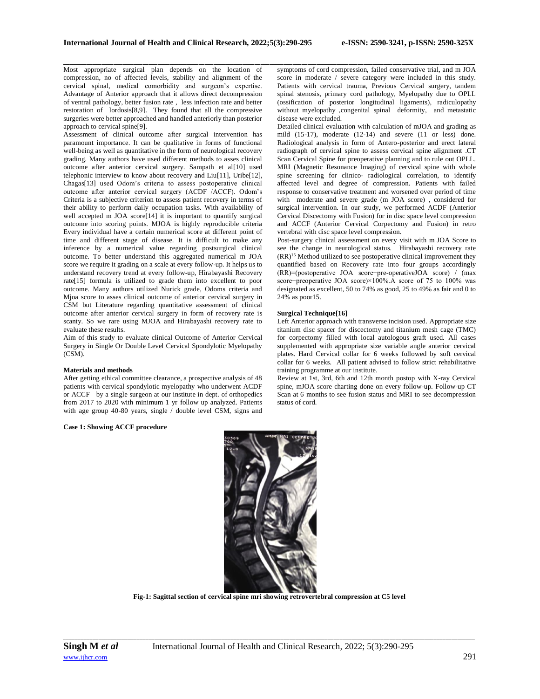Most appropriate surgical plan depends on the location of compression, no of affected levels, stability and alignment of the cervical spinal, medical comorbidity and surgeon's expertise. Advantage of Anterior approach that it allows direct decompression of ventral pathology, better fusion rate , less infection rate and better restoration of lordosis[8,9]. They found that all the compressive surgeries were better approached and handled anteriorly than posterior approach to cervical spine[9].

Assessment of clinical outcome after surgical intervention has paramount importance. It can be qualitative in forms of functional well-being as well as quantitative in the form of neurological recovery grading. Many authors have used different methods to asses clinical outcome after anterior cervical surgery. Sampath et al[10] used telephonic interview to know about recovery and Liu[11], Uribe[12], Chagas[13] used Odom's criteria to assess postoperative clinical outcome after anterior cervical surgery (ACDF /ACCF). Odom's Criteria is a subjective criterion to assess patient recovery in terms of their ability to perform daily occupation tasks. With availability of well accepted m JOA score[14] it is important to quantify surgical outcome into scoring points. MJOA is highly reproducible criteria Every individual have a certain numerical score at different point of time and different stage of disease. It is difficult to make any inference by a numerical value regarding postsurgical clinical outcome. To better understand this aggregated numerical m JOA score we require it grading on a scale at every follow-up. It helps us to understand recovery trend at every follow-up, Hirabayashi Recovery rate[15] formula is utilized to grade them into excellent to poor outcome. Many authors utilized Nurick grade, Odoms criteria and Mjoa score to asses clinical outcome of anterior cervical surgery in CSM but Literature regarding quantitative assessment of clinical outcome after anterior cervical surgery in form of recovery rate is scanty. So we rare using MJOA and Hirabayashi recovery rate to evaluate these results.

Aim of this study to evaluate clinical Outcome of Anterior Cervical Surgery in Single Or Double Level Cervical Spondylotic Myelopathy (CSM).

### **Materials and methods**

After getting ethical committee clearance, a prospective analysis of 48 patients with cervical spondylotic myelopathy who underwent ACDF or ACCF by a single surgeon at our institute in dept. of orthopedics from 2017 to 2020 with minimum 1 yr follow up analyzed. Patients with age group 40-80 years, single / double level CSM, signs and

**Case 1: Showing ACCF procedure**

\_\_\_\_\_\_\_\_\_\_\_\_\_\_\_\_\_\_\_\_\_\_\_\_\_\_\_\_\_\_\_\_\_\_\_\_\_\_\_\_\_\_\_\_\_\_\_\_\_\_\_\_\_\_\_\_\_\_\_\_\_\_\_\_\_\_\_\_\_\_\_\_\_\_\_\_\_\_\_\_\_\_\_\_\_\_\_\_\_\_\_\_\_\_\_\_\_\_\_\_\_\_\_\_\_\_\_\_\_\_\_\_\_\_\_\_\_\_\_\_\_\_\_\_\_\_\_\_\_\_\_\_\_\_\_\_\_\_\_\_ symptoms of cord compression, failed conservative trial, and m JOA score in moderate / severe category were included in this study. Patients with cervical trauma, Previous Cervical surgery, tandem spinal stenosis, primary cord pathology, Myelopathy due to OPLL (ossification of posterior longitudinal ligaments), radiculopathy without myelopathy ,congenital spinal deformity, and metastatic disease were excluded.

Detailed clinical evaluation with calculation of mJOA and grading as mild (15-17), moderate (12-14) and severe (11 or less) done. Radiological analysis in form of Antero-posterior and erect lateral radiograph of cervical spine to assess cervical spine alignment .CT Scan Cervical Spine for preoperative planning and to rule out OPLL. MRI (Magnetic Resonance Imaging) of cervical spine with whole spine screening for clinico- radiological correlation, to identify affected level and degree of compression. Patients with failed response to conservative treatment and worsened over period of time with moderate and severe grade (m JOA score) , considered for surgical intervention. In our study, we performed ACDF (Anterior Cervical Discectomy with Fusion) for in disc space level compression and ACCF (Anterior Cervical Corpectomy and Fusion) in retro vertebral with disc space level compression.

Post-surgery clinical assessment on every visit with m JOA Score to see the change in neurological status. Hirabayashi recovery rate (RR)<sup>15</sup> Method utilized to see postoperative clinical improvement they quantified based on Recovery rate into four groups accordingly (RR)=(postoperative JOA score−pre-operativeJOA score) / (max score-preoperative JOA score)×100%.A score of 75 to 100% was designated as excellent, 50 to 74% as good, 25 to 49% as fair and 0 to 24% as poor15.

## **Surgical Technique[16]**

Left Anterior approach with transverse incision used. Appropriate size titanium disc spacer for discectomy and titanium mesh cage (TMC) for corpectomy filled with local autologous graft used. All cases supplemented with appropriate size variable angle anterior cervical plates. Hard Cervical collar for 6 weeks followed by soft cervical collar for 6 weeks. All patient advised to follow strict rehabilitative training programme at our institute.

Review at 1st, 3rd, 6th and 12th month postop with X-ray Cervical spine, mJOA score charting done on every follow-up. Follow-up CT Scan at 6 months to see fusion status and MRI to see decompression status of cord.



**Fig-1: Sagittal section of cervical spine mri showing retrovertebral compression at C5 level**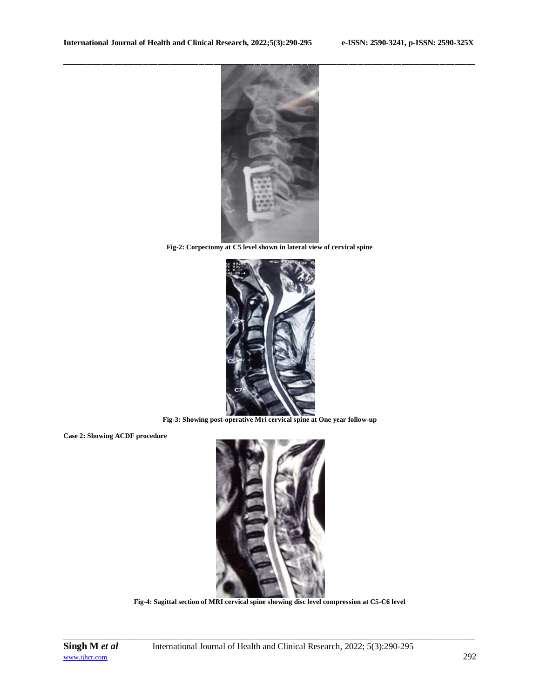

**Fig-2: Corpectomy at C5 level shown in lateral view of cervical spine**



**Fig-3: Showing post-operative Mri cervical spine at One year follow-up**

**Case 2: Showing ACDF procedure**



**Fig-4: Sagittal section of MRI cervical spine showing disc level compression at C5-C6 level**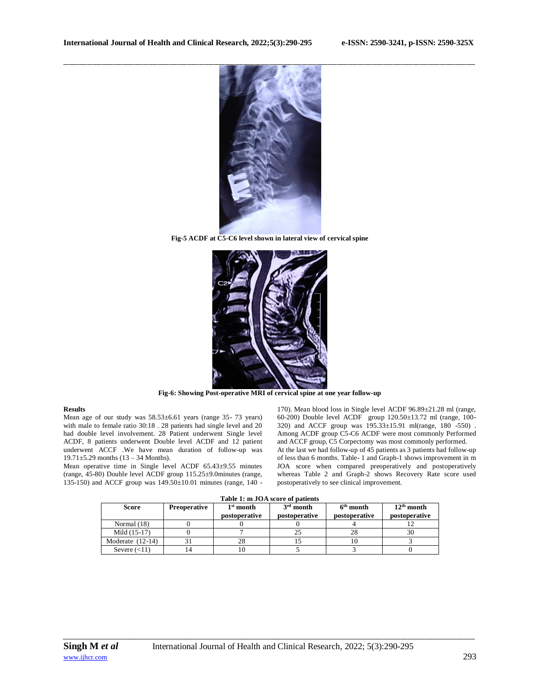

**Fig-5 ACDF at C5-C6 level shown in lateral view of cervical spine**



**Fig-6: Showing Post-operative MRI of cervical spine at one year follow-up**

# **Results**

Mean age of our study was 58.53±6.61 years (range 35- 73 years) with male to female ratio 30:18 . 28 patients had single level and 20 had double level involvement. 28 Patient underwent Single level ACDF, 8 patients underwent Double level ACDF and 12 patient underwent ACCF .We have mean duration of follow-up was 19.71±5.29 months (13 – 34 Months).

Mean operative time in Single level ACDF 65.43±9.55 minutes (range, 45-80) Double level ACDF group 115.25±9.0minutes (range, 135-150) and ACCF group was  $149.50\pm10.01$  minutes (range,  $140$  -

170). Mean blood loss in Single level ACDF 96.89±21.28 ml (range, 60-200) Double level ACDF group 120.50±13.72 ml (range, 100- 320) and ACCF group was 195.33±15.91 ml(range, 180 -550) . Among ACDF group C5-C6 ACDF were most commonly Performed and ACCF group, C5 Corpectomy was most commonly performed. At the last we had follow-up of 45 patients as 3 patients had follow-up of less than 6 months. Table- 1 and Graph-1 shows improvement in m JOA score when compared preoperatively and postoperatively whereas Table 2 and Graph-2 shows Recovery Rate score used postoperatively to see clinical improvement.

| Score              | <b>Preoperative</b> | $1st$ month<br>postoperative | $3rd$ month<br><b>postoperative</b> | $6th$ month<br>postoperative | $12th$ month<br>postoperative |
|--------------------|---------------------|------------------------------|-------------------------------------|------------------------------|-------------------------------|
| Normal $(18)$      |                     |                              |                                     |                              |                               |
| Mild (15-17)       |                     |                              |                                     |                              | 30                            |
| Moderate $(12-14)$ |                     | 28                           |                                     | 1 V                          |                               |
| Severe $(<11)$     |                     | ΙU                           |                                     |                              |                               |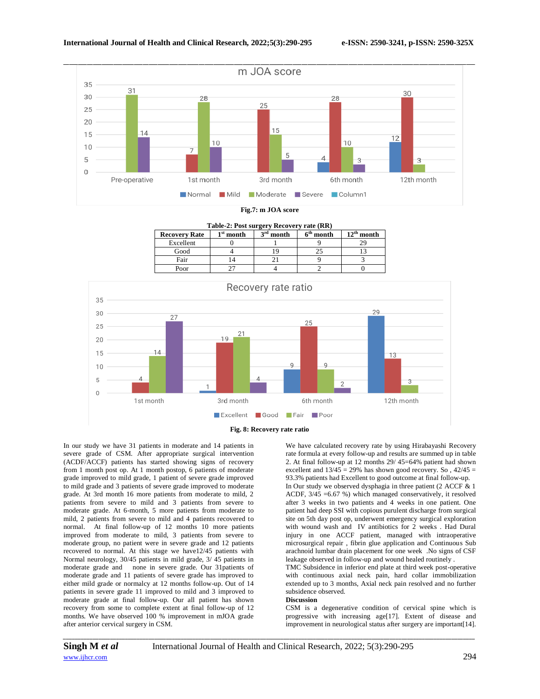

| Table-2: Post surgery Recovery rate (RR) |             |             |             |                 |  |  |  |  |
|------------------------------------------|-------------|-------------|-------------|-----------------|--|--|--|--|
| <b>Recovery Rate</b>                     | $1st$ month | $3rd$ month | $6th$ month | $12^{th}$ month |  |  |  |  |
| Excellent                                |             |             |             |                 |  |  |  |  |
| Good                                     |             |             |             |                 |  |  |  |  |
| Fair                                     |             |             |             |                 |  |  |  |  |
| Poor                                     |             |             |             |                 |  |  |  |  |



In our study we have 31 patients in moderate and 14 patients in severe grade of CSM. After appropriate surgical intervention (ACDF/ACCF) patients has started showing signs of recovery from 1 month post op. At 1 month postop, 6 patients of moderate grade improved to mild grade, 1 patient of severe grade improved to mild grade and 3 patients of severe grade improved to moderate grade. At 3rd month 16 more patients from moderate to mild, 2 patients from severe to mild and 3 patients from severe to moderate grade. At 6-month, 5 more patients from moderate to mild, 2 patients from severe to mild and 4 patients recovered to normal. At final follow-up of 12 months 10 more patients improved from moderate to mild, 3 patients from severe to moderate group, no patient were in severe grade and 12 patients recovered to normal. At this stage we have12/45 patients with Normal neurology, 30/45 patients in mild grade, 3/ 45 patients in moderate grade and none in severe grade. Our 31patients of moderate grade and 11 patients of severe grade has improved to either mild grade or normalcy at 12 months follow-up. Out of 14 patients in severe grade 11 improved to mild and 3 improved to moderate grade at final follow-up. Our all patient has shown recovery from some to complete extent at final follow-up of 12 months. We have observed 100 % improvement in mJOA grade after anterior cervical surgery in CSM.

We have calculated recovery rate by using Hirabayashi Recovery rate formula at every follow-up and results are summed up in table 2. At final follow-up at 12 months 29/ 45=64% patient had shown excellent and  $13/45 = 29\%$  has shown good recovery. So,  $42/45 =$ 93.3% patients had Excellent to good outcome at final follow-up. In Our study we observed dysphagia in three patient (2 ACCF & 1 ACDF, 3/45 =6.67 %) which managed conservatively, it resolved after 3 weeks in two patients and 4 weeks in one patient. One patient had deep SSI with copious purulent discharge from surgical site on 5th day post op, underwent emergency surgical exploration with wound wash and IV antibiotics for 2 weeks . Had Dural injury in one ACCF patient, managed with intraoperative microsurgical repair , fibrin glue application and Continuous Sub arachnoid lumbar drain placement for one week .No signs of CSF leakage observed in follow-up and wound healed routinely .

TMC Subsidence in inferior end plate at third week post-operative with continuous axial neck pain, hard collar immobilization extended up to 3 months, Axial neck pain resolved and no further subsidence observed.

#### **Discussion**

CSM is a degenerative condition of cervical spine which is progressive with increasing age[17]. Extent of disease and improvement in neurological status after surgery are important[14].